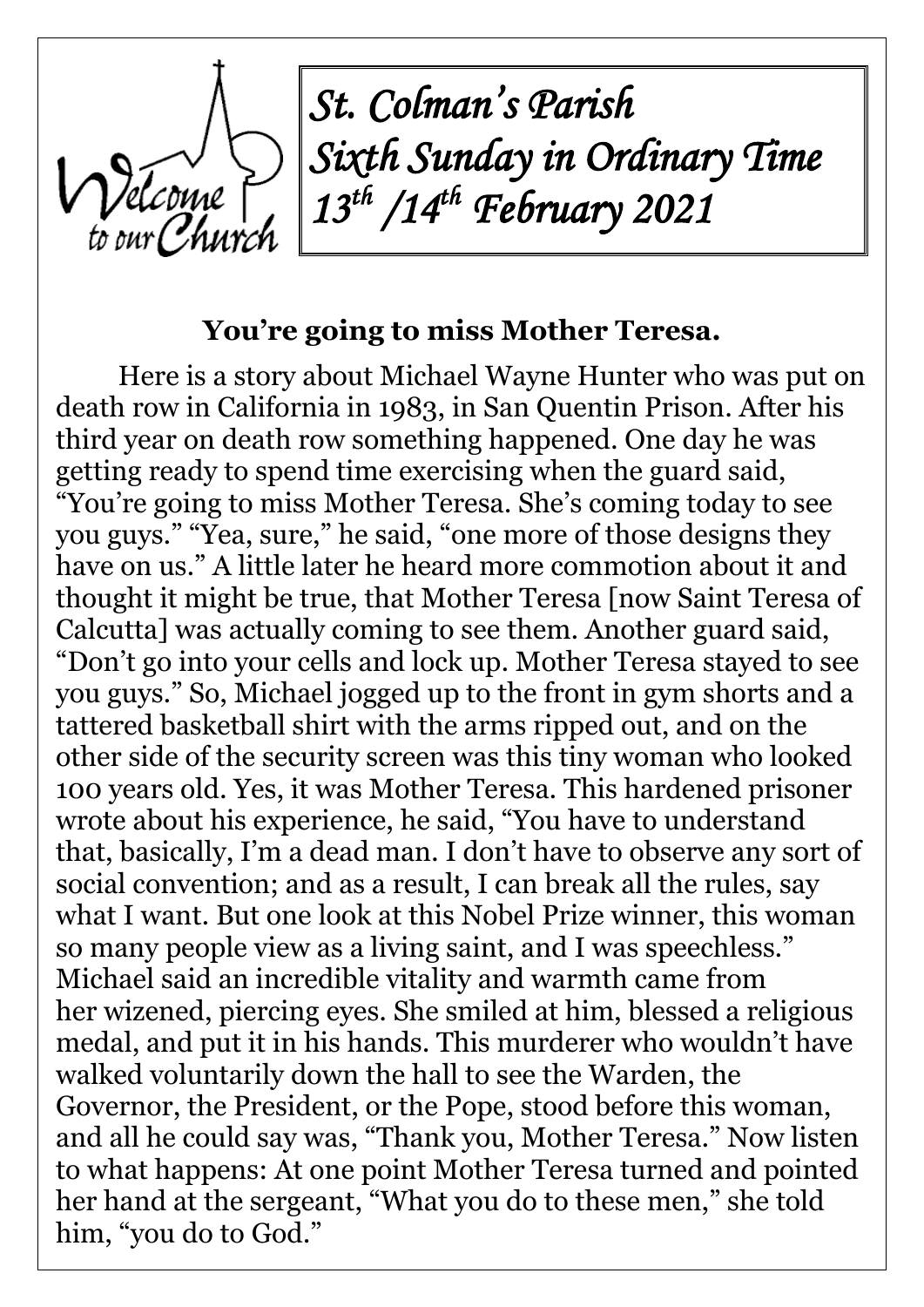*St. Colman's Parish Sixth Sunday in Ordinary Time 13th /14th February 2021*

#### **You're going to miss Mother Teresa.**

Here is a story about Michael Wayne Hunter who was put on death row in California in 1983, in San Quentin Prison. After his third year on death row something happened. One day he was getting ready to spend time exercising when the guard said, "You're going to miss Mother Teresa. She's coming today to see you guys." "Yea, sure," he said, "one more of those designs they have on us." A little later he heard more commotion about it and thought it might be true, that Mother Teresa [now Saint Teresa of Calcutta] was actually coming to see them. Another guard said, "Don't go into your cells and lock up. Mother Teresa stayed to see you guys." So, Michael jogged up to the front in gym shorts and a tattered basketball shirt with the arms ripped out, and on the other side of the security screen was this tiny woman who looked 100 years old. Yes, it was Mother Teresa. This hardened prisoner wrote about his experience, he said, "You have to understand that, basically, I'm a dead man. I don't have to observe any sort of social convention; and as a result, I can break all the rules, say what I want. But one look at this Nobel Prize winner, this woman so many people view as a living saint, and I was speechless." Michael said an incredible vitality and warmth came from her wizened, piercing eyes. She smiled at him, blessed a religious medal, and put it in his hands. This murderer who wouldn't have walked voluntarily down the hall to see the Warden, the Governor, the President, or the Pope, stood before this woman, and all he could say was, "Thank you, Mother Teresa." Now listen to what happens: At one point Mother Teresa turned and pointed her hand at the sergeant, "What you do to these men," she told him, "you do to God."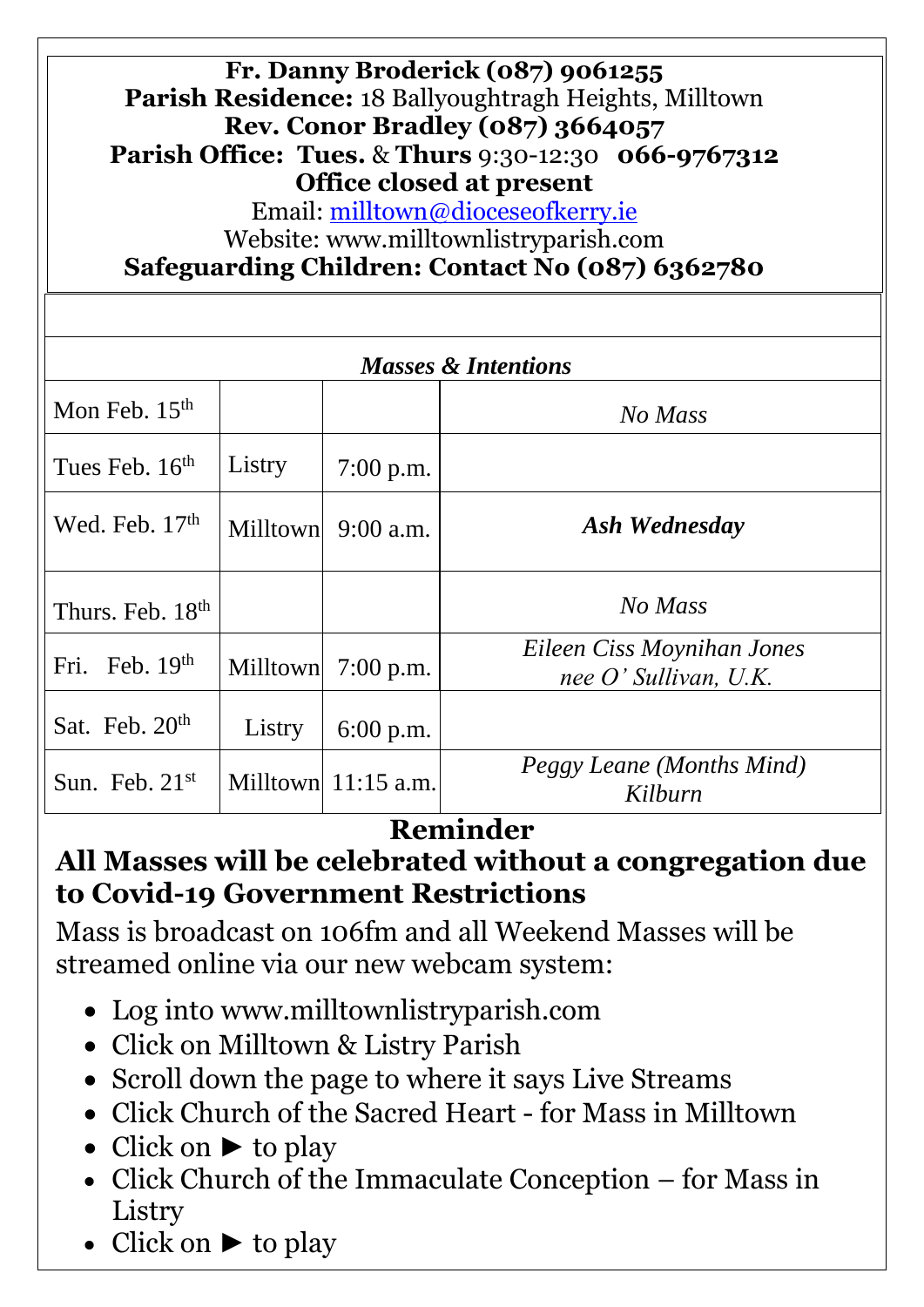| Fr. Danny Broderick (087) 9061255<br>Parish Residence: 18 Ballyoughtragh Heights, Milltown<br><b>Rev. Conor Bradley (087) 3664057</b><br><b>Parish Office: Tues. &amp; Thurs 9:30-12:30 066-9767312</b><br>Office closed at present<br>Email: milltown@dioceseofkerry.ie<br>Website: www.milltownlistryparish.com<br>Safeguarding Children: Contact No (087) 6362780 |          |                       |                                                       |
|----------------------------------------------------------------------------------------------------------------------------------------------------------------------------------------------------------------------------------------------------------------------------------------------------------------------------------------------------------------------|----------|-----------------------|-------------------------------------------------------|
|                                                                                                                                                                                                                                                                                                                                                                      |          |                       |                                                       |
| <b>Masses &amp; Intentions</b>                                                                                                                                                                                                                                                                                                                                       |          |                       |                                                       |
| Mon Feb. $15th$                                                                                                                                                                                                                                                                                                                                                      |          |                       | No Mass                                               |
| Tues Feb. $16th$                                                                                                                                                                                                                                                                                                                                                     | Listry   | 7:00 p.m.             |                                                       |
| Wed. Feb. 17 <sup>th</sup>                                                                                                                                                                                                                                                                                                                                           | Milltown | $9:00$ a.m.           | Ash Wednesday                                         |
| Thurs. Feb. 18 <sup>th</sup>                                                                                                                                                                                                                                                                                                                                         |          |                       | No Mass                                               |
| Fri. Feb. $19th$                                                                                                                                                                                                                                                                                                                                                     | Milltown | $7:00$ p.m.           | Eileen Ciss Moynihan Jones<br>nee $O'$ Sullivan, U.K. |
| Sat. Feb. $20th$                                                                                                                                                                                                                                                                                                                                                     | Listry   | $6:00$ p.m.           |                                                       |
| Sun. Feb. $21st$                                                                                                                                                                                                                                                                                                                                                     |          | Milltown $11:15$ a.m. | Peggy Leane (Months Mind)<br>Kilburn                  |

# **Reminder**

# **All Masses will be celebrated without a congregation due to Covid-19 Government Restrictions**

Mass is broadcast on 106fm and all Weekend Masses will be streamed online via our new webcam system:

- Log into [www.milltownlistryparish.com](http://www.milltownlistryparish.com/)
- Click on Milltown & Listry Parish
- Scroll down the page to where it says Live Streams
- Click Church of the Sacred Heart for Mass in Milltown
- Click on  $\blacktriangleright$  to play
- Click Church of the Immaculate Conception for Mass in Listry
- Click on ► to play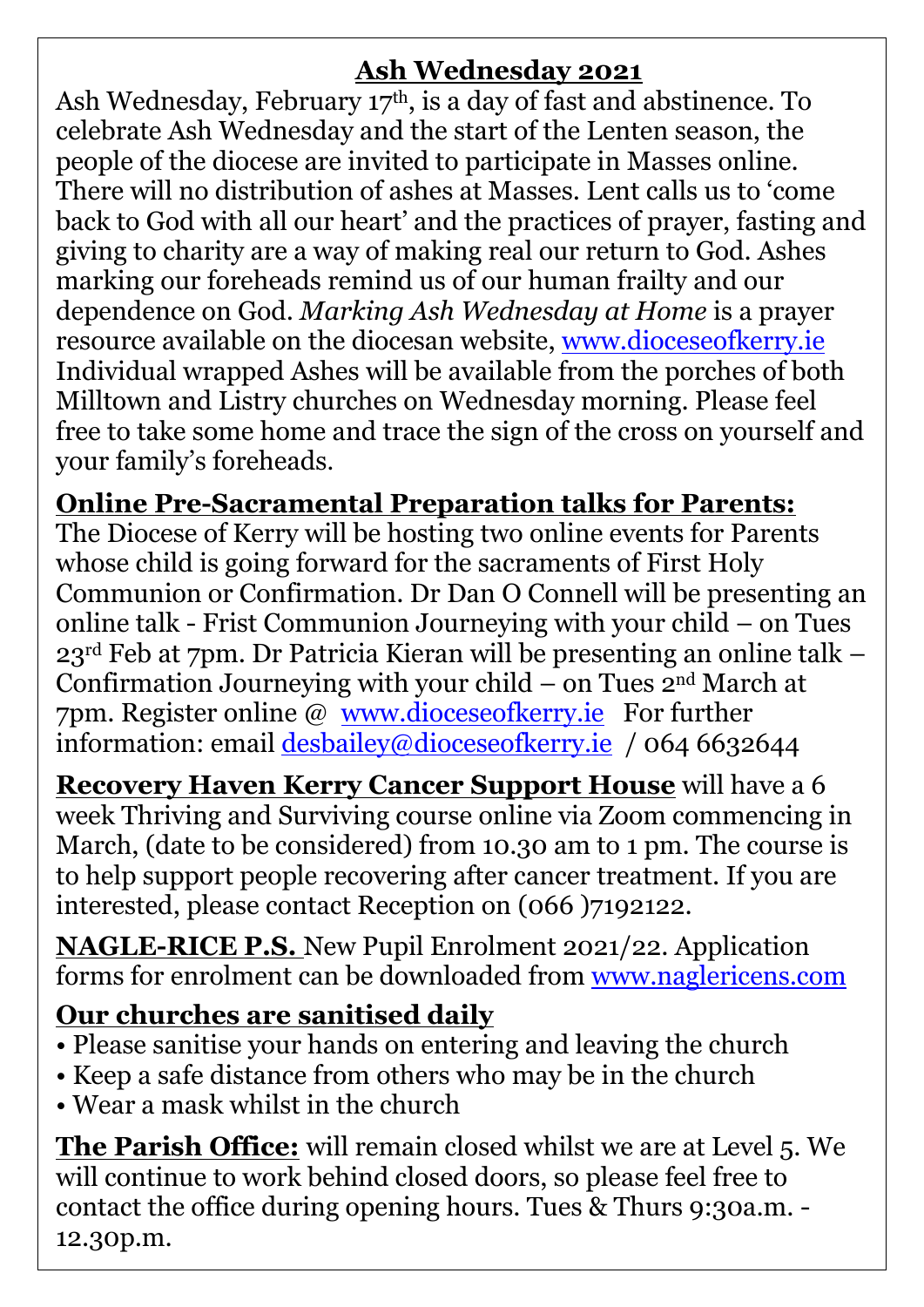## **Ash Wednesday 2021**

Ash Wednesday, February 17<sup>th</sup>, is a day of fast and abstinence. To celebrate Ash Wednesday and the start of the Lenten season, the people of the diocese are invited to participate in Masses online. There will no distribution of ashes at Masses. Lent calls us to 'come back to God with all our heart' and the practices of prayer, fasting and giving to charity are a way of making real our return to God. Ashes marking our foreheads remind us of our human frailty and our dependence on God. *Marking Ash Wednesday at Home* is a prayer resource available on the diocesan website, [www.dioceseofkerry.ie](http://www.dioceseofkerry.ie/) Individual wrapped Ashes will be available from the porches of both Milltown and Listry churches on Wednesday morning. Please feel free to take some home and trace the sign of the cross on yourself and your family's foreheads.

### **Online Pre-Sacramental Preparation talks for Parents:**

The Diocese of Kerry will be hosting two online events for Parents whose child is going forward for the sacraments of First Holy Communion or Confirmation. Dr Dan O Connell will be presenting an online talk - Frist Communion Journeying with your child – on Tues 23rd Feb at 7pm. Dr Patricia Kieran will be presenting an online talk – Confirmation Journeying with your child – on Tues  $2<sup>nd</sup> March$  at 7pm. Register online @ [www.dioceseofkerry.ie](http://www.dioceseofkerry.ie/) For further information: email [desbailey@dioceseofkerry.ie](mailto:desbailey@dioceseofkerry.ie) / 064 6632644

**Recovery Haven Kerry Cancer Support House** will have a 6 week Thriving and Surviving course online via Zoom commencing in March, (date to be considered) from 10.30 am to 1 pm. The course is to help support people recovering after cancer treatment. If you are interested, please contact Reception on (066 )7192122.

**NAGLE-RICE P.S.** New Pupil Enrolment 2021/22. Application forms for enrolment can be downloaded from [www.naglericens.com](http://www.naglericens.com/) 

## **Our churches are sanitised daily**

- Please sanitise your hands on entering and leaving the church
- Keep a safe distance from others who may be in the church
- Wear a mask whilst in the church

**The Parish Office:** will remain closed whilst we are at Level 5. We will continue to work behind closed doors, so please feel free to contact the office during opening hours. Tues & Thurs 9:30a.m. - 12.30p.m.